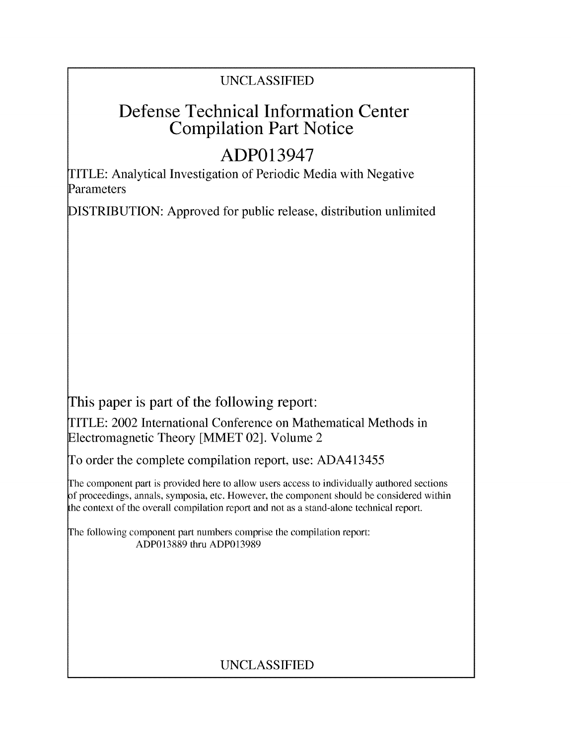### UNCLASSIFIED

## Defense Technical Information Center Compilation Part Notice

# **ADP013947**

TITLE: Analytical Investigation of Periodic Media with Negative Parameters

DISTRIBUTION: Approved for public release, distribution unlimited

This paper is part of the following report:

TITLE: 2002 International Conference on Mathematical Methods in Electromagnetic Theory [MMET 02]. Volume 2

To order the complete compilation report, use: ADA413455

The component part is provided here to allow users access to individually authored sections f proceedings, annals, symposia, etc. However, the component should be considered within the context of the overall compilation report and not as a stand-alone technical report.

The following component part numbers comprise the compilation report: ADP013889 thru ADP013989

## UNCLASSIFIED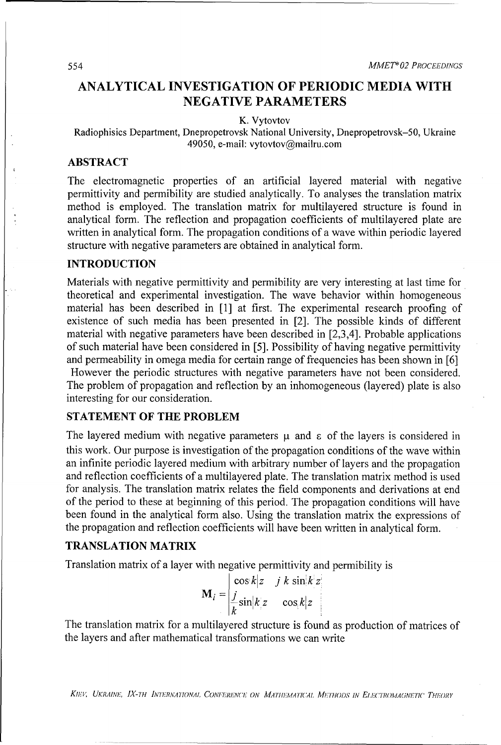### **ANALYTICAL INVESTIGATION** OF PERIODIC **MEDIA** WITH **NEGATIVE** PARAMETERS

K. Vytovtov

Radiophisics Department, Dnepropetrovsk National University, Dnepropetrovsk-50, Ukraine 49050, e-mail: vytovtov@mailru.com

#### ABSTRACT

The electromagnetic properties of an artificial layered material with negative permittivity and permibility are studied analytically. To analyses the translation matrix method is employed. The translation matrix for multilayered structure is found in analytical form. The reflection and propagation coefficients of multilayered plate are written in analytical form. The propagation conditions of a wave within periodic layered structure with negative parameters are obtained in analytical form.

#### INTRODUCTION

Materials with negative permittivity and permibility are very interesting at last time for theoretical and experimental investigation. The wave behavior within homogeneous material has been described in [1] at first. The experimental research proofing of existence of such media has been presented in [2]. The possible kinds of different material with negative parameters have been described in [2,3,4]. Probable applications of such material have been considered in [5]. Possibility of having negative permittivity and permeability in omega media for certain range of frequencies has been shown in [6] However the periodic structures with negative parameters have not been considered. The problem of propagation and reflection by an inhomogeneous (layered) plate is also interesting for our consideration.

#### **STATEMENT** OF THE PROBLEM

The layered medium with negative parameters  $\mu$  and  $\epsilon$  of the layers is considered in this work. Our purpose is investigation of the propagation conditions of the wave within an infinite periodic layered medium with arbitrary number of layers and the propagation and reflection coefficients of a multilayered plate. The translation matrix method is used for analysis. The translation matrix relates the field components and derivations at end of the period to these at beginning of this period. The propagation conditions will have been found in the analytical form also. Using the translation matrix the expressions of the propagation and reflection coefficients will have been written in analytical form.

#### **TRANSLATION** MATRIX

Translation matrix of a layer with negative permittivity and permibility is

$$
\mathbf{M}_{i} = \begin{vmatrix} \cos k|z & j & k \sin k|z| \\ \frac{j}{k} \sin k|z| & \cos k|z| \end{vmatrix}
$$

The translation matrix for a multilayered structure is found as production of matrices of the layers and after mathematical transformations we can write

KIEV, UKRAINE, IX-TH INTERNATIONAL CONFERENCE ON MATHEMATICAL METHODS IN ELECTROMAGNETIC THEORY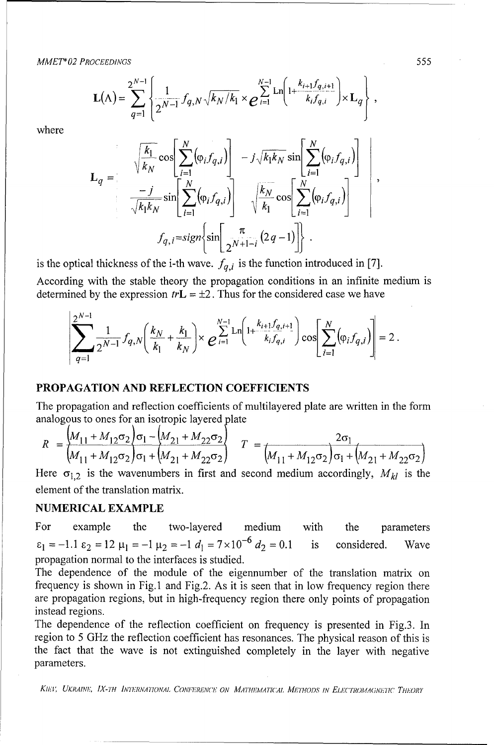*MMETh 02 PROCEEDINGS* 555

$$
\mathbf{L}(\Lambda) = \sum_{q=1}^{2^{N-1}} \left\{ \frac{1}{2^{N-1}} f_{q,N} \sqrt{k_N/k_1} \times e^{\sum_{i=1}^{N-1} \mathrm{Ln} \left( 1 + \frac{k_{i+1} f_{q,i+1}}{k_i f_{q,i}} \right)} \times \mathbf{L}_q \right\},
$$

where

$$
\mathbf{L}_{q} = \sqrt{\frac{k_{1}}{k_{N}}}\cos\left[\sum_{i=1}^{N}(\varphi_{i}f_{q,i})\right] - j\sqrt{k_{1}k_{N}}\sin\left[\sum_{i=1}^{N}(\varphi_{i}f_{q,i})\right] - j\sqrt{k_{1}k_{N}}\cos\left[\sum_{i=1}^{N}(\varphi_{i}f_{q,i})\right] - \sqrt{\frac{k_{N}}{k_{1}}}\cos\left[\sum_{i=1}^{N}(\varphi_{i}f_{q,i})\right] - f_{q,i} = sign\left\{\sin\left[\frac{\pi}{2^{N+1-i}}(2q-1)\right]\right\}.
$$

is the optical thickness of the i-th wave.  $f_{q,i}$  is the function introduced in [7].

According with the stable theory the propagation conditions in an infinite medium is determined by the expression  $tr L = \pm 2$ . Thus for the considered case we have

$$
\sum_{q=1}^{2^{N-1}} \frac{1}{2^{N-1}} f_{q,N}\left(\frac{k_N}{k_1} + \frac{k_1}{k_N}\right) \times e^{\sum_{i=1}^{N-1} \ln\left(1 + \frac{k_{i+1}f_{q,i+1}}{k_i f_{q,i}}\right)} \cos\left[\sum_{i=1}^N (\varphi_i f_{q,i})\right] = 2.
$$

#### PROPAGATION **AND** REFLECTION **COEFFICIENTS**

The propagation and reflection coefficients of multilayered plate are written in the form analogous to ones for an isotropic layered plate

$$
R = \frac{\left(M_{11} + M_{12}\sigma_2\right)\sigma_1 - \left(M_{21} + M_{22}\sigma_2\right)}{\left(M_{11} + M_{12}\sigma_2\right)\sigma_1 + \left(M_{21} + M_{22}\sigma_2\right)} \quad T = \frac{2\sigma_1}{\left(M_{11} + M_{12}\sigma_2\right)\sigma_1 + \left(M_{21} + M_{22}\sigma_2\right)}
$$

Here  $\sigma_{1,2}$  is the wavenumbers in first and second medium accordingly,  $M_{kl}$  is the element of the translation matrix.

#### **NUMERICAL** EXAMPLE

For example the two-layered medium with the parameters  $\epsilon_1 = -1.1 \epsilon_2 = 12 \mu_1 = -1 \mu_2 = -1 d_1 = 7 \times 10^{-6} d_2 = 0.1$  is considered. Wave propagation normal to the interfaces is studied.

The dependence of the module of the eigennumber of the translation matrix on frequency is shown in Fig.1 and Fig.2. As it is seen that in low frequency region there are propagation regions, but in high-frequency region there only points of propagation instead regions.

The dependence of the reflection coefficient on frequency is presented in Fig.3. In region to 5 GHz the reflection coefficient has resonances. The physical reason of this is the fact that the wave is not extinguished completely in the layer with negative parameters.

KIEV, UKRAINE, IX-TH *INTERNATIONAL CONFERENCE ON MATHEMATICAL METHODS IN ELECTROMAGNETIC THEORY*